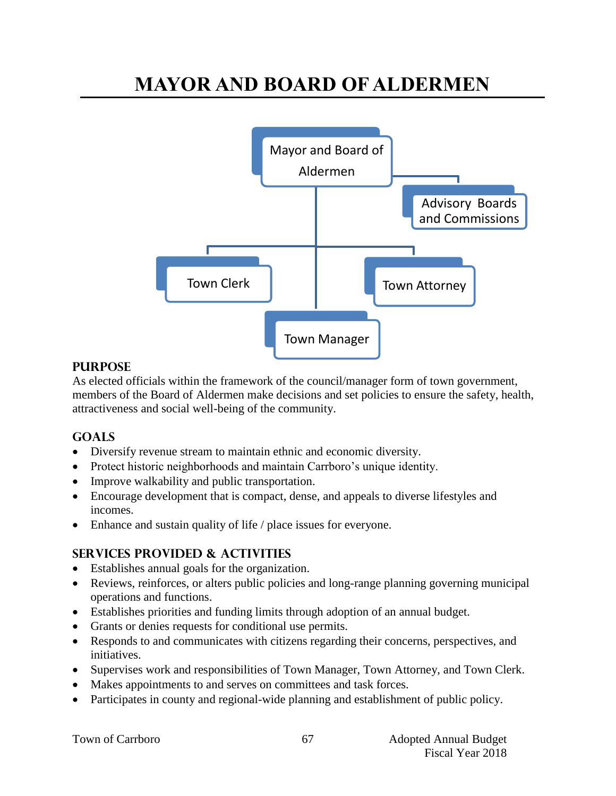# **MAYOR AND BOARD OF ALDERMEN**



## **PURPOSE**

As elected officials within the framework of the council/manager form of town government, members of the Board of Aldermen make decisions and set policies to ensure the safety, health, attractiveness and social well-being of the community.

# **Goals**

- Diversify revenue stream to maintain ethnic and economic diversity.
- Protect historic neighborhoods and maintain Carrboro's unique identity.
- Improve walkability and public transportation.
- Encourage development that is compact, dense, and appeals to diverse lifestyles and incomes.
- Enhance and sustain quality of life / place issues for everyone.

# **Services provided & activities**

- Establishes annual goals for the organization.
- Reviews, reinforces, or alters public policies and long-range planning governing municipal operations and functions.
- Establishes priorities and funding limits through adoption of an annual budget.
- Grants or denies requests for conditional use permits.
- Responds to and communicates with citizens regarding their concerns, perspectives, and initiatives.
- Supervises work and responsibilities of Town Manager, Town Attorney, and Town Clerk.
- Makes appointments to and serves on committees and task forces.
- Participates in county and regional-wide planning and establishment of public policy.

|  |  | Town of Carrboro |
|--|--|------------------|
|--|--|------------------|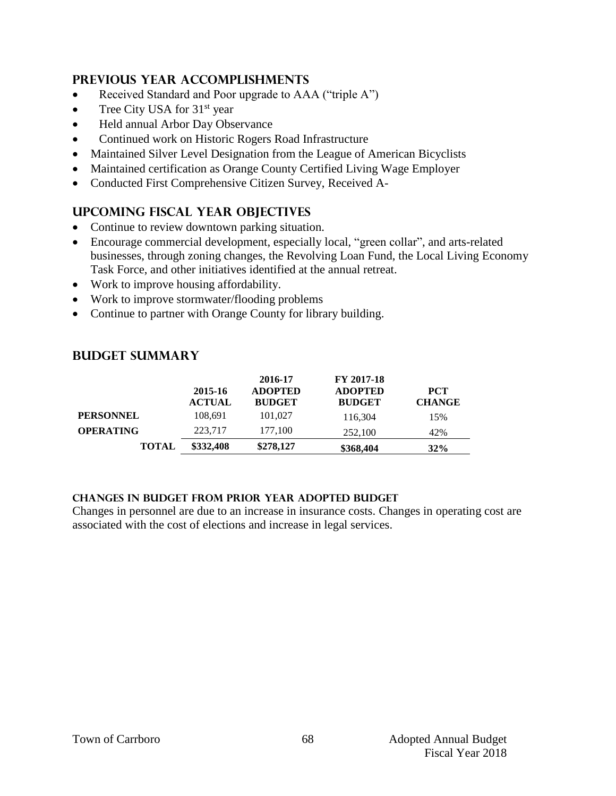# **Previous year accomplishments**

- Received Standard and Poor upgrade to AAA ("triple A")
- Tree City USA for  $31<sup>st</sup>$  year
- Held annual Arbor Day Observance
- Continued work on Historic Rogers Road Infrastructure
- Maintained Silver Level Designation from the League of American Bicyclists
- Maintained certification as Orange County Certified Living Wage Employer
- Conducted First Comprehensive Citizen Survey, Received A-

# **Upcoming Fiscal year objectives**

- Continue to review downtown parking situation.
- Encourage commercial development, especially local, "green collar", and arts-related businesses, through zoning changes, the Revolving Loan Fund, the Local Living Economy Task Force, and other initiatives identified at the annual retreat.
- Work to improve housing affordability.
- Work to improve stormwater/flooding problems
- Continue to partner with Orange County for library building.

# **Budget summary**

|                  | 2015-16<br><b>ACTUAL</b> | 2016-17<br><b>ADOPTED</b><br><b>BUDGET</b> | FY 2017-18<br><b>ADOPTED</b><br><b>BUDGET</b> | <b>PCT</b><br><b>CHANGE</b> |
|------------------|--------------------------|--------------------------------------------|-----------------------------------------------|-----------------------------|
| <b>PERSONNEL</b> | 108.691                  | 101.027                                    | 116.304                                       | 15%                         |
| <b>OPERATING</b> | 223,717                  | 177,100                                    | 252,100                                       | 42%                         |
| <b>TOTAL</b>     | \$332,408                | \$278,127                                  | \$368,404                                     | 32%                         |

#### **Changes in budget from prior year adopted budget**

Changes in personnel are due to an increase in insurance costs. Changes in operating cost are associated with the cost of elections and increase in legal services.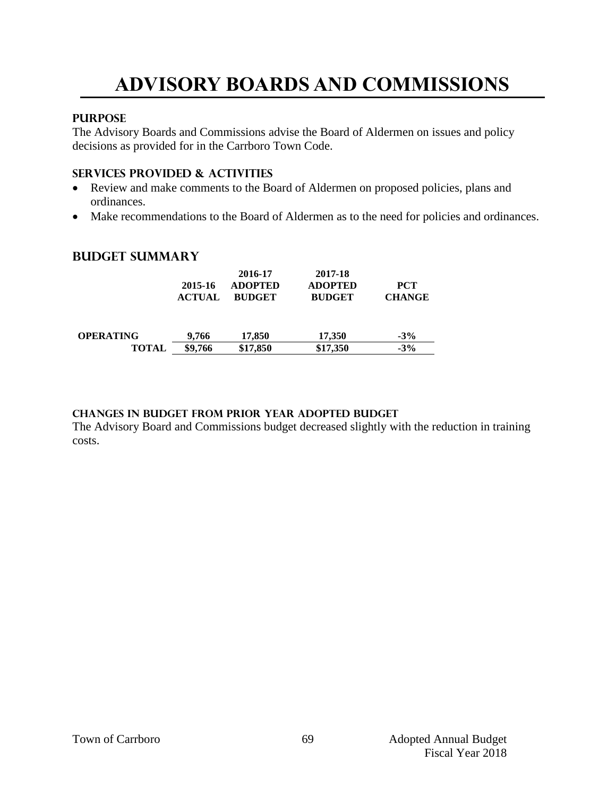# **ADVISORY BOARDS AND COMMISSIONS**

#### **PURPOSE**

The Advisory Boards and Commissions advise the Board of Aldermen on issues and policy decisions as provided for in the Carrboro Town Code.

#### **Services provided & activities**

- Review and make comments to the Board of Aldermen on proposed policies, plans and ordinances.
- Make recommendations to the Board of Aldermen as to the need for policies and ordinances.

## **Budget summary**

|                  | 2015-16<br><b>ACTUAL</b> | 2016-17<br><b>ADOPTED</b><br><b>BUDGET</b> | 2017-18<br><b>ADOPTED</b><br><b>BUDGET</b> | <b>PCT</b><br><b>CHANGE</b> |
|------------------|--------------------------|--------------------------------------------|--------------------------------------------|-----------------------------|
| <b>OPERATING</b> | 9.766                    | 17.850                                     | 17.350                                     | $-3\%$                      |
| TOTAL            | \$9,766                  | \$17,850                                   | \$17,350                                   | $-3%$                       |

#### **Changes in budget from prior year adopted budget**

The Advisory Board and Commissions budget decreased slightly with the reduction in training costs.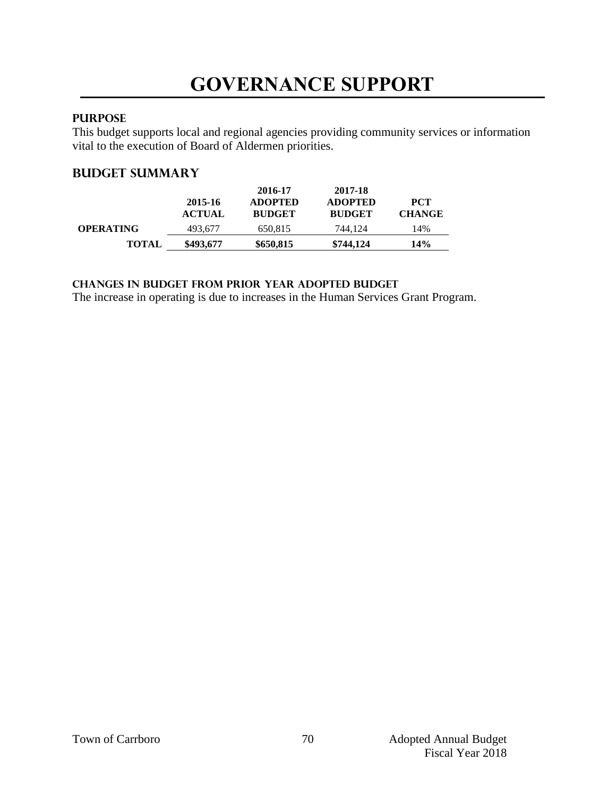#### **PURPOSE**

This budget supports local and regional agencies providing community services or information vital to the execution of Board of Aldermen priorities.

## **Budget summary**

|                  | 2015-16<br><b>ACTUAL</b> | 2016-17<br><b>ADOPTED</b><br><b>BUDGET</b> | 2017-18<br><b>ADOPTED</b><br><b>BUDGET</b> | <b>PCT</b><br><b>CHANGE</b> |
|------------------|--------------------------|--------------------------------------------|--------------------------------------------|-----------------------------|
| <b>OPERATING</b> | 493,677                  | 650,815                                    | 744.124                                    | 14%                         |
| <b>TOTAL</b>     | \$493,677                | \$650,815                                  | \$744.124                                  | 14%                         |

**changes in budget from prior year adopted budget**

The increase in operating is due to increases in the Human Services Grant Program.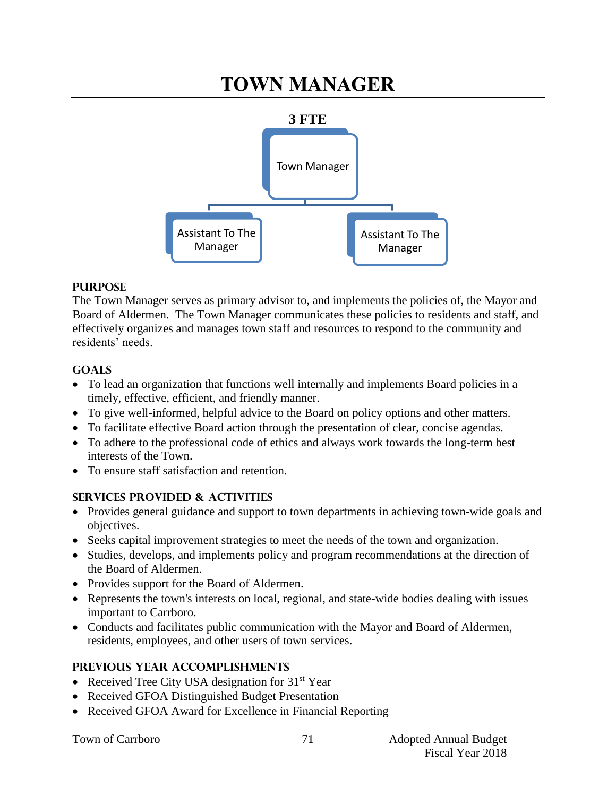# **TOWN MANAGER**



#### **PURPOSE**

The Town Manager serves as primary advisor to, and implements the policies of, the Mayor and Board of Aldermen. The Town Manager communicates these policies to residents and staff, and effectively organizes and manages town staff and resources to respond to the community and residents' needs.

## **GOALS**

- To lead an organization that functions well internally and implements Board policies in a timely, effective, efficient, and friendly manner.
- To give well-informed, helpful advice to the Board on policy options and other matters.
- To facilitate effective Board action through the presentation of clear, concise agendas.
- To adhere to the professional code of ethics and always work towards the long-term best interests of the Town.
- To ensure staff satisfaction and retention.

# **SERVICES PROVIDED & ACTIVITIES**

- Provides general guidance and support to town departments in achieving town-wide goals and objectives.
- Seeks capital improvement strategies to meet the needs of the town and organization.
- Studies, develops, and implements policy and program recommendations at the direction of the Board of Aldermen.
- Provides support for the Board of Aldermen.
- Represents the town's interests on local, regional, and state-wide bodies dealing with issues important to Carrboro.
- Conducts and facilitates public communication with the Mayor and Board of Aldermen, residents, employees, and other users of town services.

# **PREVIOUS YEAR ACCOMPLISHMENTS**

- Received Tree City USA designation for 31<sup>st</sup> Year
- Received GFOA Distinguished Budget Presentation
- Received GFOA Award for Excellence in Financial Reporting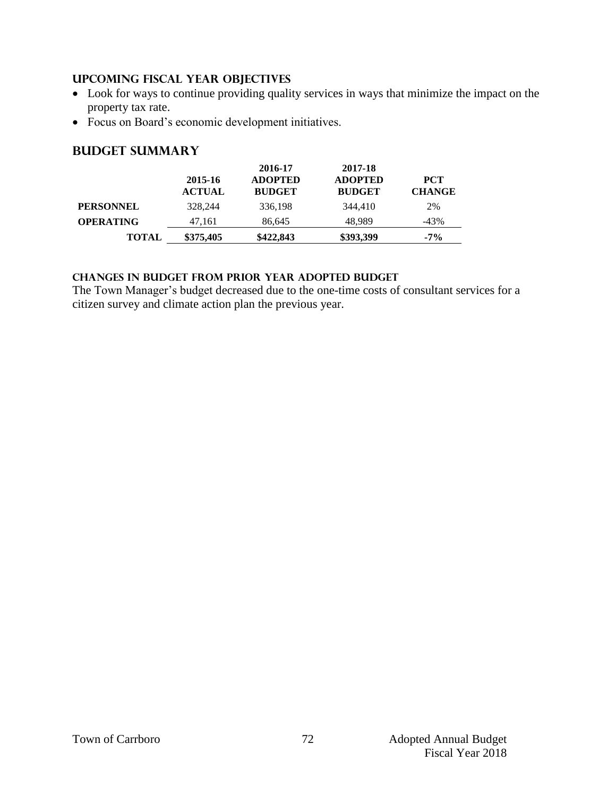#### **UPCOMING FISCAL YEAR OBJECTIVES**

- Look for ways to continue providing quality services in ways that minimize the impact on the property tax rate.
- Focus on Board's economic development initiatives.

## **Budget summary**

|                  | 2015-16<br><b>ACTUAL</b> | 2016-17<br><b>ADOPTED</b><br><b>BUDGET</b> | 2017-18<br><b>ADOPTED</b><br><b>BUDGET</b> | <b>PCT</b><br><b>CHANGE</b> |
|------------------|--------------------------|--------------------------------------------|--------------------------------------------|-----------------------------|
| <b>PERSONNEL</b> | 328,244                  | 336,198                                    | 344,410                                    | 2%                          |
| <b>OPERATING</b> | 47.161                   | 86.645                                     | 48.989                                     | $-43\%$                     |
| <b>TOTAL</b>     | \$375,405                | \$422,843                                  | \$393,399                                  | $-7\%$                      |

#### **Changes in budget from prior year adopted budget**

The Town Manager's budget decreased due to the one-time costs of consultant services for a citizen survey and climate action plan the previous year.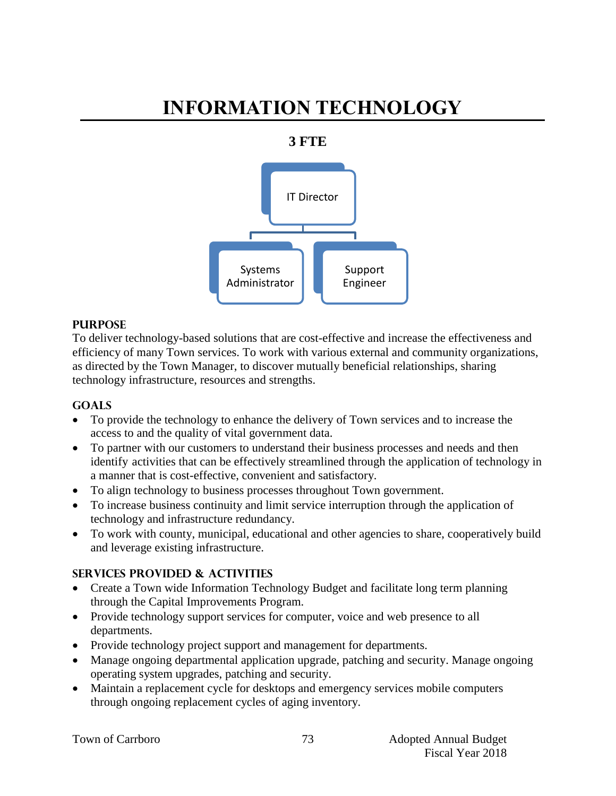# **INFORMATION TECHNOLOGY**

## **3 FTE**



#### **PURPOSE**

To deliver technology-based solutions that are cost-effective and increase the effectiveness and efficiency of many Town services. To work with various external and community organizations, as directed by the Town Manager, to discover mutually beneficial relationships, sharing technology infrastructure, resources and strengths.

#### **Goals**

- To provide the technology to enhance the delivery of Town services and to increase the access to and the quality of vital government data.
- To partner with our customers to understand their business processes and needs and then identify activities that can be effectively streamlined through the application of technology in a manner that is cost-effective, convenient and satisfactory.
- To align technology to business processes throughout Town government.
- To increase business continuity and limit service interruption through the application of technology and infrastructure redundancy.
- To work with county, municipal, educational and other agencies to share, cooperatively build and leverage existing infrastructure.

#### **Services provided & activities**

- Create a Town wide Information Technology Budget and facilitate long term planning through the Capital Improvements Program.
- Provide technology support services for computer, voice and web presence to all departments.
- Provide technology project support and management for departments.
- Manage ongoing departmental application upgrade, patching and security. Manage ongoing operating system upgrades, patching and security.
- Maintain a replacement cycle for desktops and emergency services mobile computers through ongoing replacement cycles of aging inventory.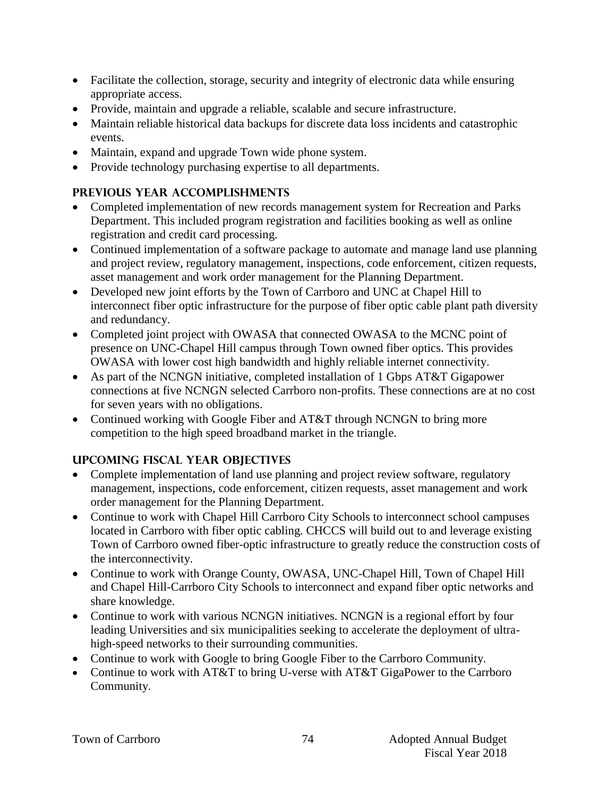- Facilitate the collection, storage, security and integrity of electronic data while ensuring appropriate access.
- Provide, maintain and upgrade a reliable, scalable and secure infrastructure.
- Maintain reliable historical data backups for discrete data loss incidents and catastrophic events.
- Maintain, expand and upgrade Town wide phone system.
- Provide technology purchasing expertise to all departments.

# **Previous year accomplishments**

- Completed implementation of new records management system for Recreation and Parks Department. This included program registration and facilities booking as well as online registration and credit card processing.
- Continued implementation of a software package to automate and manage land use planning and project review, regulatory management, inspections, code enforcement, citizen requests, asset management and work order management for the Planning Department.
- Developed new joint efforts by the Town of Carrboro and UNC at Chapel Hill to interconnect fiber optic infrastructure for the purpose of fiber optic cable plant path diversity and redundancy.
- Completed joint project with OWASA that connected OWASA to the MCNC point of presence on UNC-Chapel Hill campus through Town owned fiber optics. This provides OWASA with lower cost high bandwidth and highly reliable internet connectivity.
- As part of the NCNGN initiative, completed installation of 1 Gbps AT&T Gigapower connections at five NCNGN selected Carrboro non-profits. These connections are at no cost for seven years with no obligations.
- Continued working with Google Fiber and AT&T through NCNGN to bring more competition to the high speed broadband market in the triangle.

# **Upcoming Fiscal year objectives**

- Complete implementation of land use planning and project review software, regulatory management, inspections, code enforcement, citizen requests, asset management and work order management for the Planning Department.
- Continue to work with Chapel Hill Carrboro City Schools to interconnect school campuses located in Carrboro with fiber optic cabling. CHCCS will build out to and leverage existing Town of Carrboro owned fiber-optic infrastructure to greatly reduce the construction costs of the interconnectivity.
- Continue to work with Orange County, OWASA, UNC-Chapel Hill, Town of Chapel Hill and Chapel Hill-Carrboro City Schools to interconnect and expand fiber optic networks and share knowledge.
- Continue to work with various NCNGN initiatives. NCNGN is a regional effort by four leading Universities and six municipalities seeking to accelerate the deployment of ultrahigh-speed networks to their surrounding communities.
- Continue to work with Google to bring Google Fiber to the Carrboro Community.
- Continue to work with AT&T to bring U-verse with AT&T GigaPower to the Carrboro Community.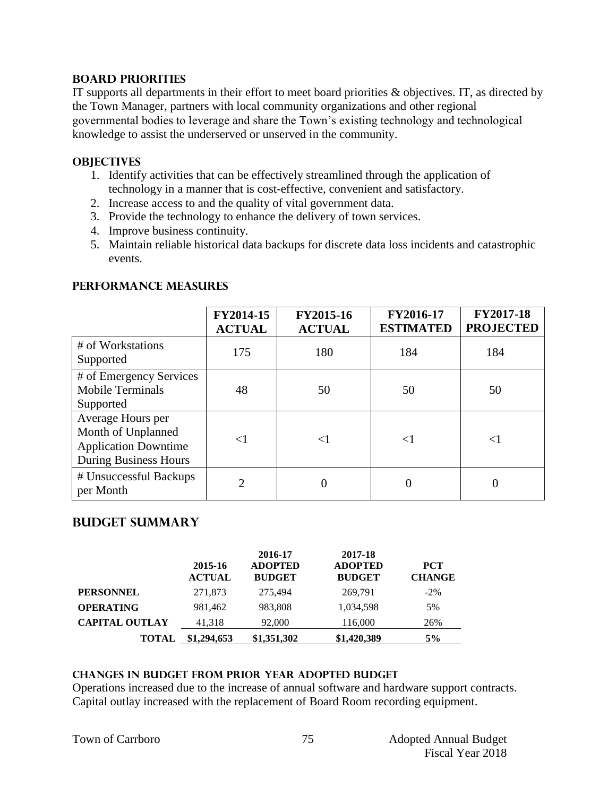#### **BOARD PRIORITIES**

IT supports all departments in their effort to meet board priorities & objectives. IT, as directed by the Town Manager, partners with local community organizations and other regional governmental bodies to leverage and share the Town's existing technology and technological knowledge to assist the underserved or unserved in the community.

#### **OBJECTIVES**

- 1. Identify activities that can be effectively streamlined through the application of technology in a manner that is cost-effective, convenient and satisfactory.
- 2. Increase access to and the quality of vital government data.
- 3. Provide the technology to enhance the delivery of town services.
- 4. Improve business continuity.
- 5. Maintain reliable historical data backups for discrete data loss incidents and catastrophic events.

|                                                                                                        | FY2014-15<br><b>ACTUAL</b> | FY2015-16<br><b>ACTUAL</b> | FY2016-17<br><b>ESTIMATED</b> | <b>FY2017-18</b><br><b>PROJECTED</b> |
|--------------------------------------------------------------------------------------------------------|----------------------------|----------------------------|-------------------------------|--------------------------------------|
| # of Workstations<br>Supported                                                                         | 175                        | 180                        | 184                           | 184                                  |
| # of Emergency Services<br><b>Mobile Terminals</b><br>Supported                                        | 48                         | 50                         | 50                            | 50                                   |
| Average Hours per<br>Month of Unplanned<br><b>Application Downtime</b><br><b>During Business Hours</b> | $<$ 1                      | ${<}1$                     | $\leq$ 1                      | ${<}1$                               |
| # Unsuccessful Backups<br>per Month                                                                    | 2                          |                            | 0                             |                                      |

#### **PERFORMANCE MEASURES**

#### **Budget summary**

|                       | 2015-16<br><b>ACTUAL</b> | 2016-17<br><b>ADOPTED</b><br><b>BUDGET</b> | 2017-18<br><b>ADOPTED</b><br><b>BUDGET</b> | <b>PCT</b><br><b>CHANGE</b> |
|-----------------------|--------------------------|--------------------------------------------|--------------------------------------------|-----------------------------|
| <b>PERSONNEL</b>      | 271,873                  | 275.494                                    | 269.791                                    | $-2\%$                      |
| <b>OPERATING</b>      | 981,462                  | 983,808                                    | 1,034,598                                  | 5%                          |
| <b>CAPITAL OUTLAY</b> | 41,318                   | 92,000                                     | 116,000                                    | 26%                         |
| <b>TOTAL</b>          | \$1,294,653              | \$1,351,302                                | \$1,420,389                                | 5%                          |

#### **changes in budget from prior year adopted budget**

Operations increased due to the increase of annual software and hardware support contracts. Capital outlay increased with the replacement of Board Room recording equipment.

|  | <b>Town of Carrboro</b> |
|--|-------------------------|
|--|-------------------------|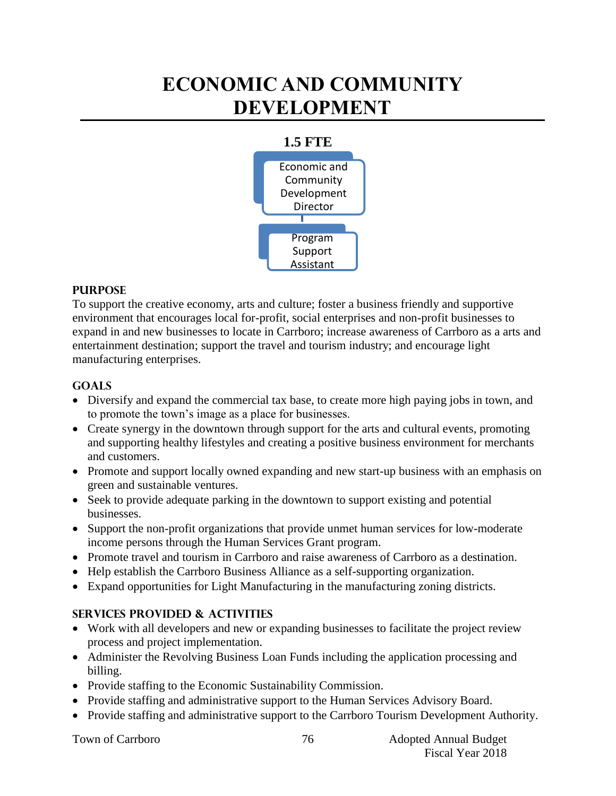# **ECONOMIC AND COMMUNITY DEVELOPMENT**



#### **PURPOSE**

To support the creative economy, arts and culture; foster a business friendly and supportive environment that encourages local for-profit, social enterprises and non-profit businesses to expand in and new businesses to locate in Carrboro; increase awareness of Carrboro as a arts and entertainment destination; support the travel and tourism industry; and encourage light manufacturing enterprises.

#### **Goals**

- Diversify and expand the commercial tax base, to create more high paying jobs in town, and to promote the town's image as a place for businesses.
- Create synergy in the downtown through support for the arts and cultural events, promoting and supporting healthy lifestyles and creating a positive business environment for merchants and customers.
- Promote and support locally owned expanding and new start-up business with an emphasis on green and sustainable ventures.
- Seek to provide adequate parking in the downtown to support existing and potential businesses.
- Support the non-profit organizations that provide unmet human services for low-moderate income persons through the Human Services Grant program.
- Promote travel and tourism in Carrboro and raise awareness of Carrboro as a destination.
- Help establish the Carrboro Business Alliance as a self-supporting organization.
- Expand opportunities for Light Manufacturing in the manufacturing zoning districts.

#### **Services provided & activities**

- Work with all developers and new or expanding businesses to facilitate the project review process and project implementation.
- Administer the Revolving Business Loan Funds including the application processing and billing.
- Provide staffing to the Economic Sustainability Commission.
- Provide staffing and administrative support to the Human Services Advisory Board.
- Provide staffing and administrative support to the Carrboro Tourism Development Authority.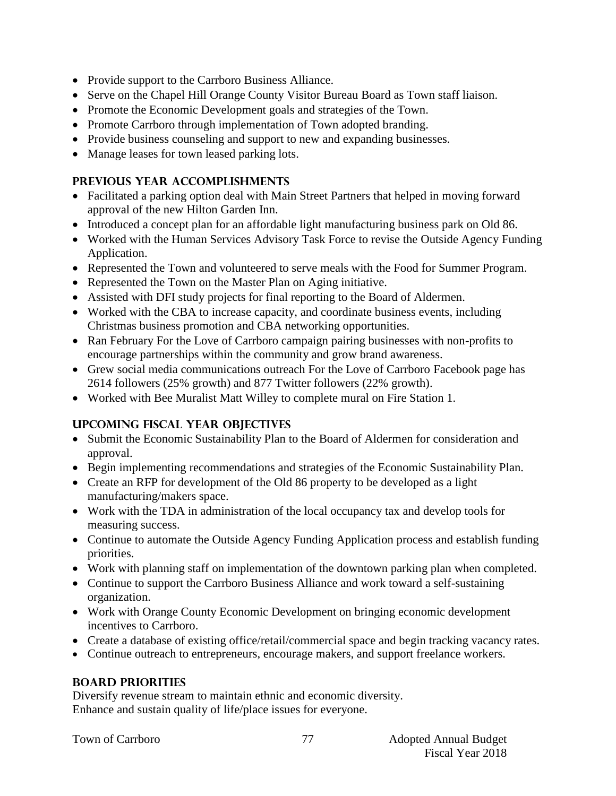- Provide support to the Carrboro Business Alliance.
- Serve on the Chapel Hill Orange County Visitor Bureau Board as Town staff liaison.
- Promote the Economic Development goals and strategies of the Town.
- Promote Carrboro through implementation of Town adopted branding.
- Provide business counseling and support to new and expanding businesses.
- Manage leases for town leased parking lots.

## **Previous year accomplishments**

- Facilitated a parking option deal with Main Street Partners that helped in moving forward approval of the new Hilton Garden Inn.
- Introduced a concept plan for an affordable light manufacturing business park on Old 86.
- Worked with the Human Services Advisory Task Force to revise the Outside Agency Funding Application.
- Represented the Town and volunteered to serve meals with the Food for Summer Program.
- Represented the Town on the Master Plan on Aging initiative.
- Assisted with DFI study projects for final reporting to the Board of Aldermen.
- Worked with the CBA to increase capacity, and coordinate business events, including Christmas business promotion and CBA networking opportunities.
- Ran February For the Love of Carrboro campaign pairing businesses with non-profits to encourage partnerships within the community and grow brand awareness.
- Grew social media communications outreach For the Love of Carrboro Facebook page has 2614 followers (25% growth) and 877 Twitter followers (22% growth).
- Worked with Bee Muralist Matt Willey to complete mural on Fire Station 1.

# **Upcoming Fiscal year objectives**

- Submit the Economic Sustainability Plan to the Board of Aldermen for consideration and approval.
- Begin implementing recommendations and strategies of the Economic Sustainability Plan.
- Create an RFP for development of the Old 86 property to be developed as a light manufacturing/makers space.
- Work with the TDA in administration of the local occupancy tax and develop tools for measuring success.
- Continue to automate the Outside Agency Funding Application process and establish funding priorities.
- Work with planning staff on implementation of the downtown parking plan when completed.
- Continue to support the Carrboro Business Alliance and work toward a self-sustaining organization.
- Work with Orange County Economic Development on bringing economic development incentives to Carrboro.
- Create a database of existing office/retail/commercial space and begin tracking vacancy rates.
- Continue outreach to entrepreneurs, encourage makers, and support freelance workers.

# **BOARD PRIORITIES**

Diversify revenue stream to maintain ethnic and economic diversity. Enhance and sustain quality of life/place issues for everyone.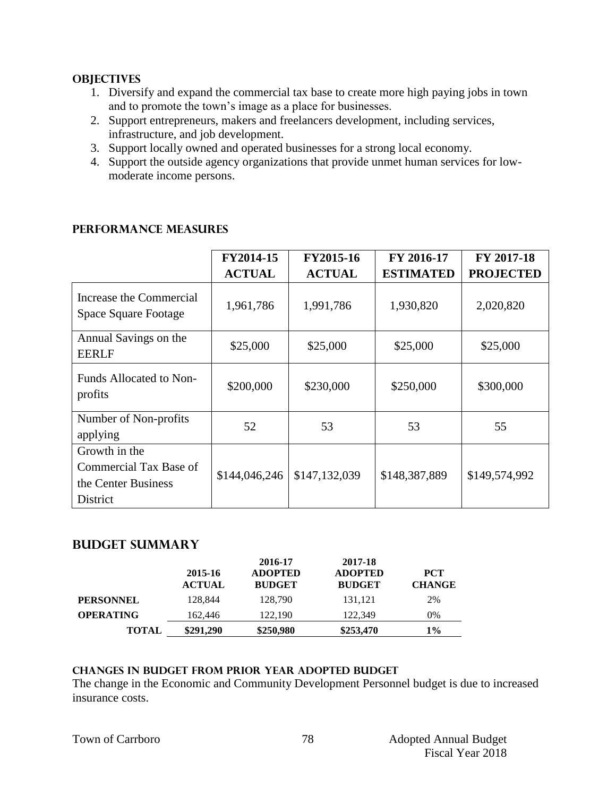#### **OBJECTIVES**

- 1. Diversify and expand the commercial tax base to create more high paying jobs in town and to promote the town's image as a place for businesses.
- 2. Support entrepreneurs, makers and freelancers development, including services, infrastructure, and job development.
- 3. Support locally owned and operated businesses for a strong local economy.
- 4. Support the outside agency organizations that provide unmet human services for lowmoderate income persons.

|                                                                            | FY2014-15     | FY2015-16     | FY 2016-17       | FY 2017-18       |
|----------------------------------------------------------------------------|---------------|---------------|------------------|------------------|
|                                                                            | <b>ACTUAL</b> | <b>ACTUAL</b> | <b>ESTIMATED</b> | <b>PROJECTED</b> |
| Increase the Commercial<br>Space Square Footage                            | 1,961,786     | 1,991,786     | 1,930,820        | 2,020,820        |
| Annual Savings on the<br><b>EERLF</b>                                      | \$25,000      | \$25,000      | \$25,000         | \$25,000         |
| Funds Allocated to Non-<br>profits                                         | \$200,000     | \$230,000     | \$250,000        | \$300,000        |
| Number of Non-profits<br>applying                                          | 52            | 53            | 53               | 55               |
| Growth in the<br>Commercial Tax Base of<br>the Center Business<br>District | \$144,046,246 | \$147,132,039 | \$148,387,889    | \$149,574,992    |

## **PERFORMANCE MEASURES**

#### **Budget summary**

|                  | 2015-16<br><b>ACTUAL</b> | 2016-17<br><b>ADOPTED</b><br><b>BUDGET</b> | 2017-18<br><b>ADOPTED</b><br><b>BUDGET</b> | <b>PCT</b><br><b>CHANGE</b> |
|------------------|--------------------------|--------------------------------------------|--------------------------------------------|-----------------------------|
| <b>PERSONNEL</b> | 128.844                  | 128,790                                    | 131.121                                    | 2%                          |
| <b>OPERATING</b> | 162,446                  | 122,190                                    | 122,349                                    | 0%                          |
| TOTAL            | \$291.290                | \$250,980                                  | \$253,470                                  | 1%                          |

#### **Changes in budget from prior year adopted budget**

The change in the Economic and Community Development Personnel budget is due to increased insurance costs.

|  |  | Town of Carrboro |
|--|--|------------------|
|--|--|------------------|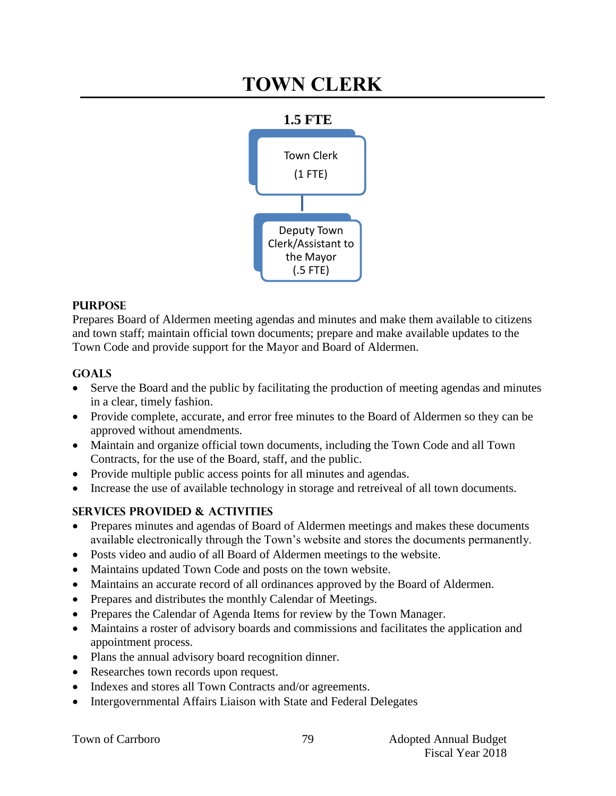# **TOWN CLERK**



## **PURPOSE**

Prepares Board of Aldermen meeting agendas and minutes and make them available to citizens and town staff; maintain official town documents; prepare and make available updates to the Town Code and provide support for the Mayor and Board of Aldermen.

# **Goals**

- Serve the Board and the public by facilitating the production of meeting agendas and minutes in a clear, timely fashion.
- Provide complete, accurate, and error free minutes to the Board of Aldermen so they can be approved without amendments.
- Maintain and organize official town documents, including the Town Code and all Town Contracts, for the use of the Board, staff, and the public.
- Provide multiple public access points for all minutes and agendas.
- Increase the use of available technology in storage and retreiveal of all town documents.

# **Services provided & activities**

- Prepares minutes and agendas of Board of Aldermen meetings and makes these documents available electronically through the Town's website and stores the documents permanently.
- Posts video and audio of all Board of Aldermen meetings to the website.
- Maintains updated Town Code and posts on the town website.
- Maintains an accurate record of all ordinances approved by the Board of Aldermen.
- Prepares and distributes the monthly Calendar of Meetings.
- Prepares the Calendar of Agenda Items for review by the Town Manager.
- Maintains a roster of advisory boards and commissions and facilitates the application and appointment process.
- Plans the annual advisory board recognition dinner.
- Researches town records upon request.
- Indexes and stores all Town Contracts and/or agreements.
- Intergovernmental Affairs Liaison with State and Federal Delegates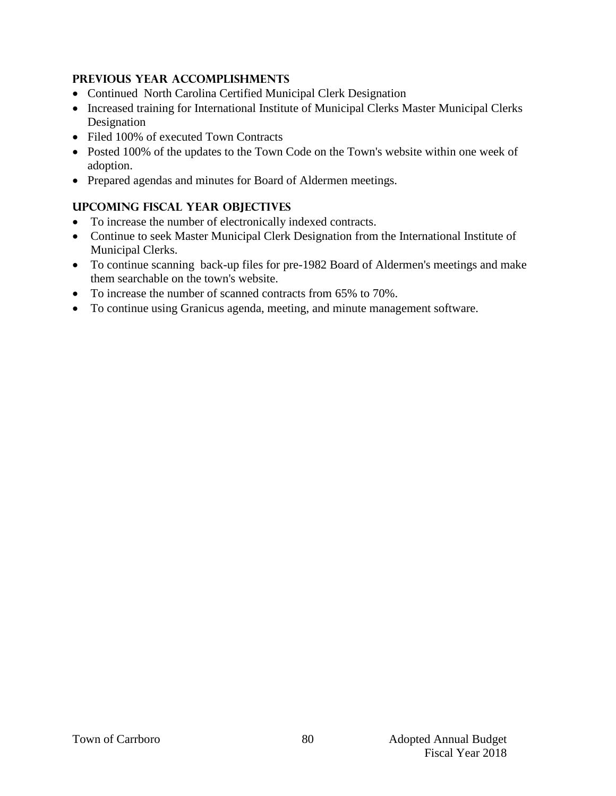## **Previous year accomplishments**

- Continued North Carolina Certified Municipal Clerk Designation
- Increased training for International Institute of Municipal Clerks Master Municipal Clerks Designation
- Filed 100% of executed Town Contracts
- Posted 100% of the updates to the Town Code on the Town's website within one week of adoption.
- Prepared agendas and minutes for Board of Aldermen meetings.

# **Upcoming Fiscal year objectives**

- To increase the number of electronically indexed contracts.
- Continue to seek Master Municipal Clerk Designation from the International Institute of Municipal Clerks.
- To continue scanning back-up files for pre-1982 Board of Aldermen's meetings and make them searchable on the town's website.
- To increase the number of scanned contracts from 65% to 70%.
- To continue using Granicus agenda, meeting, and minute management software.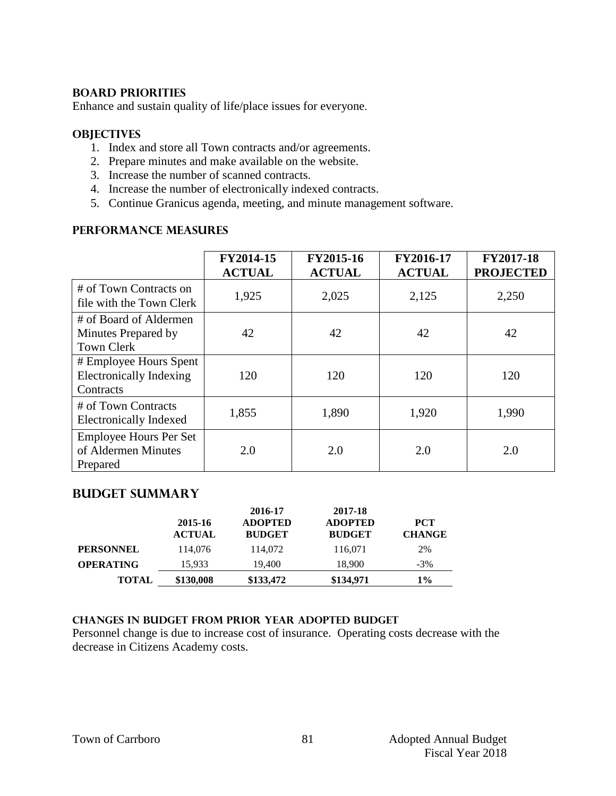#### **BOARD PRIORITIES**

Enhance and sustain quality of life/place issues for everyone.

#### **OBJECTIVES**

- 1. Index and store all Town contracts and/or agreements.
- 2. Prepare minutes and make available on the website.
- 3. Increase the number of scanned contracts.
- 4. Increase the number of electronically indexed contracts.
- 5. Continue Granicus agenda, meeting, and minute management software.

#### **PERFORMANCE MEASURES**

|                                                                       | FY2014-15<br><b>ACTUAL</b> | FY2015-16<br><b>ACTUAL</b> | FY2016-17<br><b>ACTUAL</b> | <b>FY2017-18</b><br><b>PROJECTED</b> |
|-----------------------------------------------------------------------|----------------------------|----------------------------|----------------------------|--------------------------------------|
| # of Town Contracts on<br>file with the Town Clerk                    | 1,925                      | 2,025                      | 2,125                      | 2,250                                |
| # of Board of Aldermen<br>Minutes Prepared by<br><b>Town Clerk</b>    | 42                         | 42                         | 42                         | 42                                   |
| # Employee Hours Spent<br><b>Electronically Indexing</b><br>Contracts | 120                        | 120                        | 120                        | 120                                  |
| # of Town Contracts<br><b>Electronically Indexed</b>                  | 1,855                      | 1,890                      | 1,920                      | 1,990                                |
| <b>Employee Hours Per Set</b><br>of Aldermen Minutes<br>Prepared      | 2.0                        | 2.0                        | 2.0                        | 2.0                                  |

#### **Budget summary**

|                  | 2015-16<br><b>ACTUAL</b> | 2016-17<br><b>ADOPTED</b><br><b>BUDGET</b> | 2017-18<br><b>ADOPTED</b><br><b>BUDGET</b> | <b>PCT</b><br><b>CHANGE</b> |
|------------------|--------------------------|--------------------------------------------|--------------------------------------------|-----------------------------|
| <b>PERSONNEL</b> | 114,076                  | 114,072                                    | 116,071                                    | 2%                          |
| <b>OPERATING</b> | 15.933                   | 19.400                                     | 18.900                                     | $-3\%$                      |
| <b>TOTAL</b>     | \$130,008                | \$133,472                                  | \$134,971                                  | $1\%$                       |

#### **Changes in budget from prior year adopted budget**

Personnel change is due to increase cost of insurance. Operating costs decrease with the decrease in Citizens Academy costs.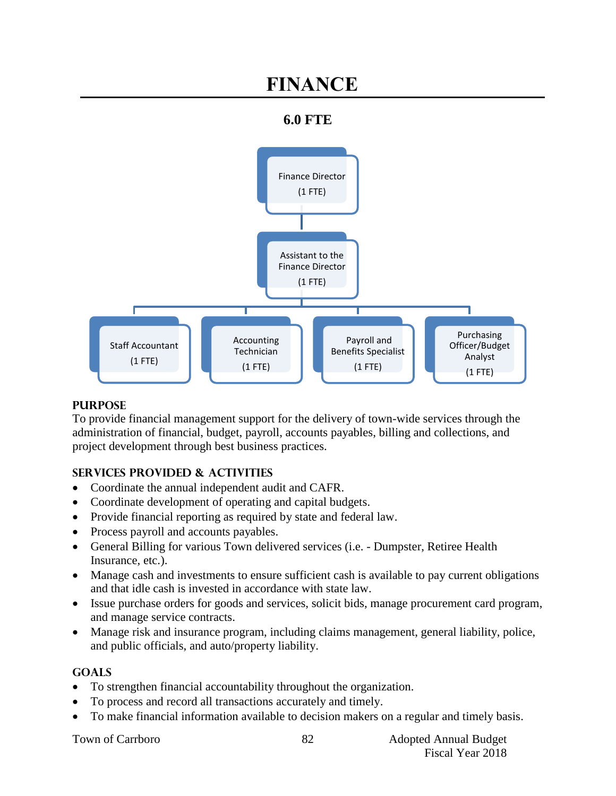# **FINANCE**

# **6.0 FTE**



#### **PURPOSE**

To provide financial management support for the delivery of town-wide services through the administration of financial, budget, payroll, accounts payables, billing and collections, and project development through best business practices.

# **SERVICES PROVIDED & ACTIVITIES**

- Coordinate the annual independent audit and CAFR.
- Coordinate development of operating and capital budgets.
- Provide financial reporting as required by state and federal law.
- Process payroll and accounts payables.
- General Billing for various Town delivered services (i.e. Dumpster, Retiree Health Insurance, etc.).
- Manage cash and investments to ensure sufficient cash is available to pay current obligations and that idle cash is invested in accordance with state law.
- Issue purchase orders for goods and services, solicit bids, manage procurement card program, and manage service contracts.
- Manage risk and insurance program, including claims management, general liability, police, and public officials, and auto/property liability.

# **GOALS**

- To strengthen financial accountability throughout the organization.
- To process and record all transactions accurately and timely.
- To make financial information available to decision makers on a regular and timely basis.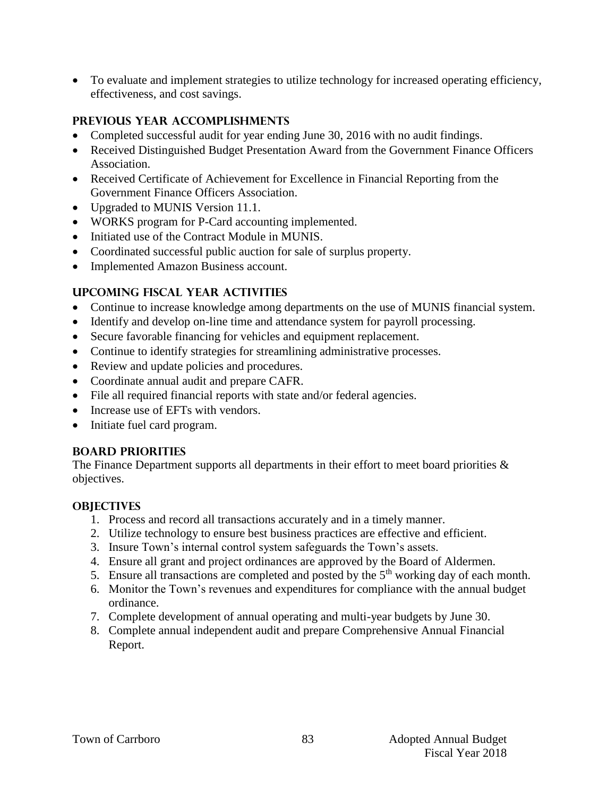To evaluate and implement strategies to utilize technology for increased operating efficiency, effectiveness, and cost savings.

## **PREVIOUS YEAR ACCOMPLISHMENTS**

- Completed successful audit for year ending June 30, 2016 with no audit findings.
- Received Distinguished Budget Presentation Award from the Government Finance Officers Association.
- Received Certificate of Achievement for Excellence in Financial Reporting from the Government Finance Officers Association.
- Upgraded to MUNIS Version 11.1.
- WORKS program for P-Card accounting implemented.
- Initiated use of the Contract Module in MUNIS.
- Coordinated successful public auction for sale of surplus property.
- Implemented Amazon Business account.

# **UPCOMING FISCAL YEAR ACTIVITIES**

- Continue to increase knowledge among departments on the use of MUNIS financial system.
- Identify and develop on-line time and attendance system for payroll processing.
- Secure favorable financing for vehicles and equipment replacement.
- Continue to identify strategies for streamlining administrative processes.
- Review and update policies and procedures.
- Coordinate annual audit and prepare CAFR.
- File all required financial reports with state and/or federal agencies.
- Increase use of EFTs with vendors.
- Initiate fuel card program.

#### **BOARD PRIORITIES**

The Finance Department supports all departments in their effort to meet board priorities  $\&$ objectives.

#### **OBJECTIVES**

- 1. Process and record all transactions accurately and in a timely manner.
- 2. Utilize technology to ensure best business practices are effective and efficient.
- 3. Insure Town's internal control system safeguards the Town's assets.
- 4. Ensure all grant and project ordinances are approved by the Board of Aldermen.
- 5. Ensure all transactions are completed and posted by the  $5<sup>th</sup>$  working day of each month.
- 6. Monitor the Town's revenues and expenditures for compliance with the annual budget ordinance.
- 7. Complete development of annual operating and multi-year budgets by June 30.
- 8. Complete annual independent audit and prepare Comprehensive Annual Financial Report.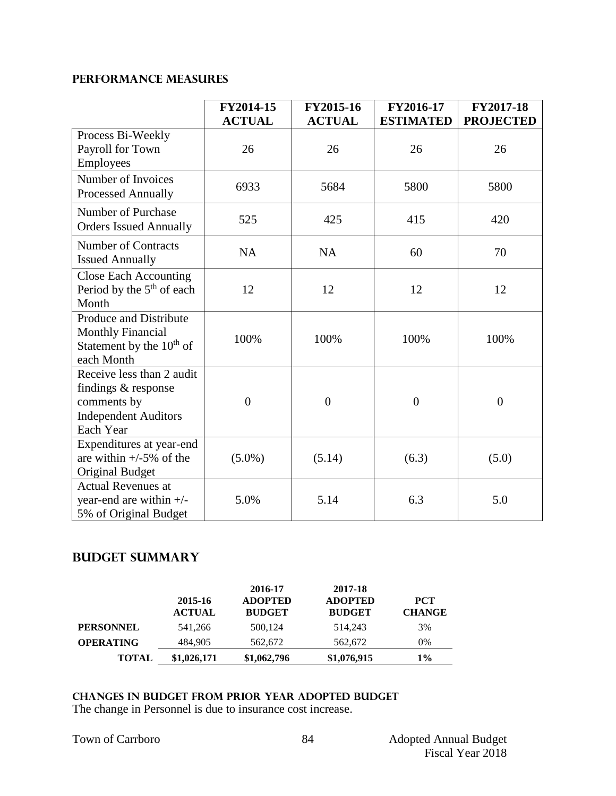## **PERFORMANCE MEASURES**

|                                                                                                             | FY2014-15      | FY2015-16        | FY2016-17        | <b>FY2017-18</b> |
|-------------------------------------------------------------------------------------------------------------|----------------|------------------|------------------|------------------|
|                                                                                                             | <b>ACTUAL</b>  | <b>ACTUAL</b>    | <b>ESTIMATED</b> | <b>PROJECTED</b> |
| Process Bi-Weekly<br>Payroll for Town<br>Employees                                                          | 26             | 26               | 26               | 26               |
| Number of Invoices<br>Processed Annually                                                                    | 6933           | 5684             | 5800             | 5800             |
| Number of Purchase<br><b>Orders Issued Annually</b>                                                         | 525            | 425              | 415              | 420              |
| <b>Number of Contracts</b><br><b>Issued Annually</b>                                                        | <b>NA</b>      | <b>NA</b>        | 60               | 70               |
| <b>Close Each Accounting</b><br>Period by the $5th$ of each<br>Month                                        | 12             | 12               | 12               | 12               |
| <b>Produce and Distribute</b><br><b>Monthly Financial</b><br>Statement by the $10th$ of<br>each Month       | 100%           | 100%             | 100%             | 100%             |
| Receive less than 2 audit<br>findings & response<br>comments by<br><b>Independent Auditors</b><br>Each Year | $\overline{0}$ | $\boldsymbol{0}$ | $\boldsymbol{0}$ | $\overline{0}$   |
| Expenditures at year-end<br>are within $+/-5\%$ of the<br><b>Original Budget</b>                            | $(5.0\%)$      | (5.14)           | (6.3)            | (5.0)            |
| <b>Actual Revenues at</b><br>year-end are within $+/-$<br>5% of Original Budget                             | 5.0%           | 5.14             | 6.3              | 5.0              |

# **Budget summary**

|                  | 2015-16<br><b>ACTUAL</b> | 2016-17<br><b>ADOPTED</b><br><b>BUDGET</b> | 2017-18<br><b>ADOPTED</b><br><b>BUDGET</b> | <b>PCT</b><br><b>CHANGE</b> |
|------------------|--------------------------|--------------------------------------------|--------------------------------------------|-----------------------------|
| <b>PERSONNEL</b> | 541,266                  | 500,124                                    | 514.243                                    | 3%                          |
| <b>OPERATING</b> | 484.905                  | 562,672                                    | 562,672                                    | 0%                          |
| <b>TOTAL</b>     | \$1,026,171              | \$1,062,796                                | \$1,076,915                                | $1\%$                       |

#### **changes in budget from prior year adopted budgeT**

The change in Personnel is due to insurance cost increase.

|  |  | <b>Town of Carrboro</b> |
|--|--|-------------------------|
|--|--|-------------------------|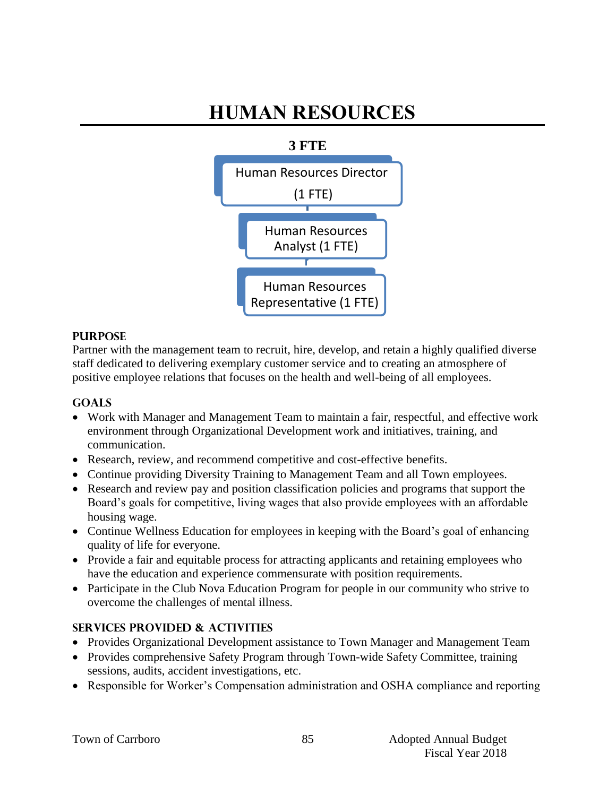# **HUMAN RESOURCES**



## **PURPOSE**

Partner with the management team to recruit, hire, develop, and retain a highly qualified diverse staff dedicated to delivering exemplary customer service and to creating an atmosphere of positive employee relations that focuses on the health and well-being of all employees.

#### **GOALS**

- Work with Manager and Management Team to maintain a fair, respectful, and effective work environment through Organizational Development work and initiatives, training, and communication.
- Research, review, and recommend competitive and cost-effective benefits.
- Continue providing Diversity Training to Management Team and all Town employees.
- Research and review pay and position classification policies and programs that support the Board's goals for competitive, living wages that also provide employees with an affordable housing wage.
- Continue Wellness Education for employees in keeping with the Board's goal of enhancing quality of life for everyone.
- Provide a fair and equitable process for attracting applicants and retaining employees who have the education and experience commensurate with position requirements.
- Participate in the Club Nova Education Program for people in our community who strive to overcome the challenges of mental illness.

# **SERVICES PROVIDED & ACTIVITIES**

- Provides Organizational Development assistance to Town Manager and Management Team
- Provides comprehensive Safety Program through Town-wide Safety Committee, training sessions, audits, accident investigations, etc.
- Responsible for Worker's Compensation administration and OSHA compliance and reporting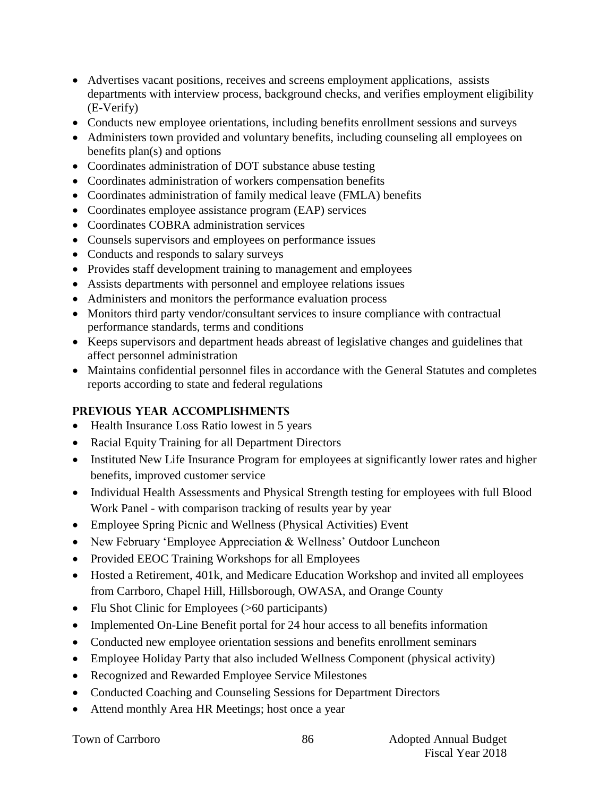- Advertises vacant positions, receives and screens employment applications, assists departments with interview process, background checks, and verifies employment eligibility (E-Verify)
- Conducts new employee orientations, including benefits enrollment sessions and surveys
- Administers town provided and voluntary benefits, including counseling all employees on benefits plan(s) and options
- Coordinates administration of DOT substance abuse testing
- Coordinates administration of workers compensation benefits
- Coordinates administration of family medical leave (FMLA) benefits
- Coordinates employee assistance program (EAP) services
- Coordinates COBRA administration services
- Counsels supervisors and employees on performance issues
- Conducts and responds to salary surveys
- Provides staff development training to management and employees
- Assists departments with personnel and employee relations issues
- Administers and monitors the performance evaluation process
- Monitors third party vendor/consultant services to insure compliance with contractual performance standards, terms and conditions
- Keeps supervisors and department heads abreast of legislative changes and guidelines that affect personnel administration
- Maintains confidential personnel files in accordance with the General Statutes and completes reports according to state and federal regulations

# **PREVIOUS YEAR ACCOMPLISHMENTS**

- Health Insurance Loss Ratio lowest in 5 years
- Racial Equity Training for all Department Directors
- Instituted New Life Insurance Program for employees at significantly lower rates and higher benefits, improved customer service
- Individual Health Assessments and Physical Strength testing for employees with full Blood Work Panel - with comparison tracking of results year by year
- Employee Spring Picnic and Wellness (Physical Activities) Event
- New February 'Employee Appreciation & Wellness' Outdoor Luncheon
- Provided EEOC Training Workshops for all Employees
- Hosted a Retirement, 401k, and Medicare Education Workshop and invited all employees from Carrboro, Chapel Hill, Hillsborough, OWASA, and Orange County
- Flu Shot Clinic for Employees (>60 participants)
- Implemented On-Line Benefit portal for 24 hour access to all benefits information
- Conducted new employee orientation sessions and benefits enrollment seminars
- Employee Holiday Party that also included Wellness Component (physical activity)
- Recognized and Rewarded Employee Service Milestones
- Conducted Coaching and Counseling Sessions for Department Directors
- Attend monthly Area HR Meetings; host once a year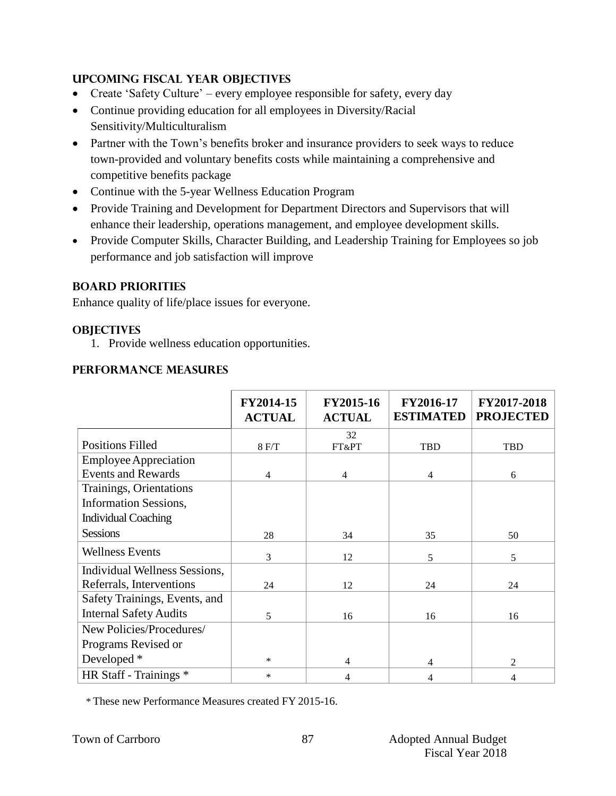## **UPCOMING FISCAL YEAR OBJECTIVES**

- Create 'Safety Culture' every employee responsible for safety, every day
- Continue providing education for all employees in Diversity/Racial Sensitivity/Multiculturalism
- Partner with the Town's benefits broker and insurance providers to seek ways to reduce town-provided and voluntary benefits costs while maintaining a comprehensive and competitive benefits package
- Continue with the 5-year Wellness Education Program
- Provide Training and Development for Department Directors and Supervisors that will enhance their leadership, operations management, and employee development skills.
- Provide Computer Skills, Character Building, and Leadership Training for Employees so job performance and job satisfaction will improve

## **BOARD PRIORITIES**

Enhance quality of life/place issues for everyone.

#### **OBJECTIVES**

1. Provide wellness education opportunities.

## **PERFORMANCE MEASURES**

|                               | FY2014-15<br><b>ACTUAL</b> | FY2015-16<br><b>ACTUAL</b> | FY2016-17<br><b>ESTIMATED</b> | FY2017-2018<br><b>PROJECTED</b> |
|-------------------------------|----------------------------|----------------------------|-------------------------------|---------------------------------|
| <b>Positions Filled</b>       |                            | 32                         |                               |                                 |
|                               | 8 F/T                      | FT&PT                      | TBD                           | TBD                             |
| <b>Employee Appreciation</b>  |                            |                            |                               |                                 |
| <b>Events and Rewards</b>     | 4                          | $\overline{4}$             | 4                             | 6                               |
| Trainings, Orientations       |                            |                            |                               |                                 |
| <b>Information Sessions,</b>  |                            |                            |                               |                                 |
| <b>Individual Coaching</b>    |                            |                            |                               |                                 |
| <b>Sessions</b>               | 28                         | 34                         | 35                            | 50                              |
| <b>Wellness Events</b>        | 3                          | 12                         | 5                             | 5                               |
| Individual Wellness Sessions, |                            |                            |                               |                                 |
| Referrals, Interventions      | 24                         | 12                         | 24                            | 24                              |
| Safety Trainings, Events, and |                            |                            |                               |                                 |
| <b>Internal Safety Audits</b> | 5                          | 16                         | 16                            | 16                              |
| New Policies/Procedures/      |                            |                            |                               |                                 |
| Programs Revised or           |                            |                            |                               |                                 |
| Developed *                   | $\ast$                     | 4                          | 4                             | $\overline{2}$                  |
| HR Staff - Trainings *        | $\ast$                     | 4                          | 4                             | 4                               |

\* These new Performance Measures created FY 2015-16.